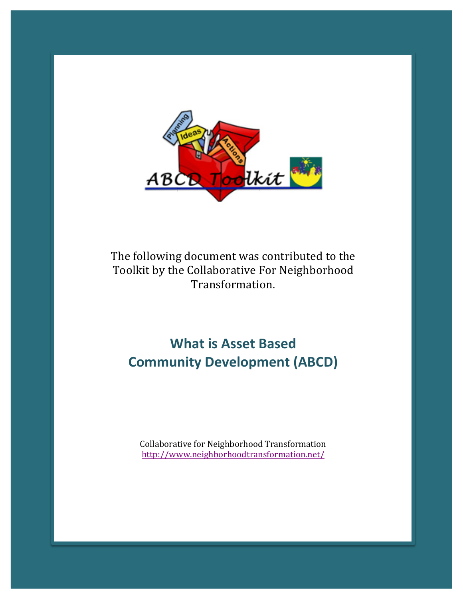

The following document was contributed to the Toolkit by the Collaborative For Neighborhood Transformation.

# **What is Asset Based Community Development (ABCD)**

Collaborative for Neighborhood Transformation http://www.neighborhoodtransformation.net/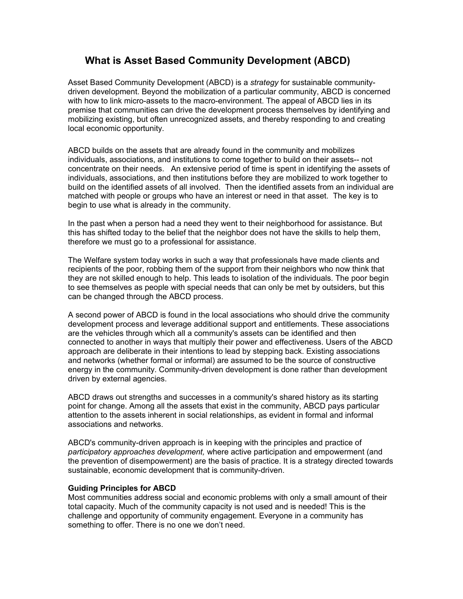# **What is Asset Based Community Development (ABCD)**

Asset Based Community Development (ABCD) is a *strategy* for sustainable communitydriven development. Beyond the mobilization of a particular community, ABCD is concerned with how to link micro-assets to the macro-environment. The appeal of ABCD lies in its premise that communities can drive the development process themselves by identifying and mobilizing existing, but often unrecognized assets, and thereby responding to and creating local economic opportunity.

ABCD builds on the assets that are already found in the community and mobilizes individuals, associations, and institutions to come together to build on their assets-- not concentrate on their needs. An extensive period of time is spent in identifying the assets of individuals, associations, and then institutions before they are mobilized to work together to build on the identified assets of all involved. Then the identified assets from an individual are matched with people or groups who have an interest or need in that asset. The key is to begin to use what is already in the community.

In the past when a person had a need they went to their neighborhood for assistance. But this has shifted today to the belief that the neighbor does not have the skills to help them, therefore we must go to a professional for assistance.

The Welfare system today works in such a way that professionals have made clients and recipients of the poor, robbing them of the support from their neighbors who now think that they are not skilled enough to help. This leads to isolation of the individuals. The poor begin to see themselves as people with special needs that can only be met by outsiders, but this can be changed through the ABCD process.

A second power of ABCD is found in the local associations who should drive the community development process and leverage additional support and entitlements. These associations are the vehicles through which all a community's assets can be identified and then connected to another in ways that multiply their power and effectiveness. Users of the ABCD approach are deliberate in their intentions to lead by stepping back. Existing associations and networks (whether formal or informal) are assumed to be the source of constructive energy in the community. Community-driven development is done rather than development driven by external agencies.

ABCD draws out strengths and successes in a community's shared history as its starting point for change. Among all the assets that exist in the community, ABCD pays particular attention to the assets inherent in social relationships, as evident in formal and informal associations and networks.

ABCD's community-driven approach is in keeping with the principles and practice of *participatory approaches development,* where active participation and empowerment (and the prevention of disempowerment) are the basis of practice. It is a strategy directed towards sustainable, economic development that is community-driven.

## **Guiding Principles for ABCD**

Most communities address social and economic problems with only a small amount of their total capacity. Much of the community capacity is not used and is needed! This is the challenge and opportunity of community engagement. Everyone in a community has something to offer. There is no one we don't need.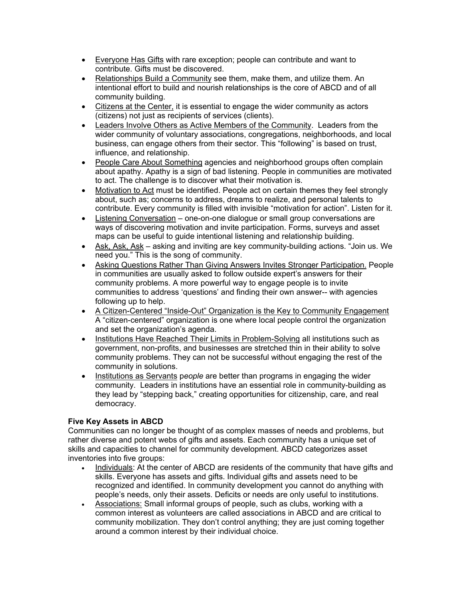- Everyone Has Gifts with rare exception; people can contribute and want to contribute. Gifts must be discovered.
- Relationships Build a Community see them, make them, and utilize them. An intentional effort to build and nourish relationships is the core of ABCD and of all community building.
- Citizens at the Center, it is essential to engage the wider community as actors (citizens) not just as recipients of services (clients).
- Leaders Involve Others as Active Members of the Community. Leaders from the wider community of voluntary associations, congregations, neighborhoods, and local business, can engage others from their sector. This "following" is based on trust, influence, and relationship.
- People Care About Something agencies and neighborhood groups often complain about apathy. Apathy is a sign of bad listening. People in communities are motivated to act. The challenge is to discover what their motivation is.
- Motivation to Act must be identified. People act on certain themes they feel strongly about, such as; concerns to address, dreams to realize, and personal talents to contribute. Every community is filled with invisible "motivation for action". Listen for it.
- Listening Conversation one-on-one dialogue or small group conversations are ways of discovering motivation and invite participation. Forms, surveys and asset maps can be useful to guide intentional listening and relationship building.
- Ask, Ask, Ask asking and inviting are key community-building actions. "Join us. We need you." This is the song of community.
- Asking Questions Rather Than Giving Answers Invites Stronger Participation. People in communities are usually asked to follow outside expert's answers for their community problems. A more powerful way to engage people is to invite communities to address 'questions' and finding their own answer-- with agencies following up to help.
- A Citizen-Centered "Inside-Out" Organization is the Key to Community Engagement A "citizen-centered" organization is one where local people control the organization and set the organization's agenda.
- Institutions Have Reached Their Limits in Problem-Solving all institutions such as government, non-profits, and businesses are stretched thin in their ability to solve community problems. They can not be successful without engaging the rest of the community in solutions.
- Institutions as Servants people are better than programs in engaging the wider community. Leaders in institutions have an essential role in community-building as they lead by "stepping back," creating opportunities for citizenship, care, and real democracy.

# **Five Key Assets in ABCD**

Communities can no longer be thought of as complex masses of needs and problems, but rather diverse and potent webs of gifts and assets. Each community has a unique set of skills and capacities to channel for community development. ABCD categorizes asset inventories into five groups:

- Individuals: At the center of ABCD are residents of the community that have gifts and skills. Everyone has assets and gifts. Individual gifts and assets need to be recognized and identified. In community development you cannot do anything with people's needs, only their assets. Deficits or needs are only useful to institutions.
- Associations: Small informal groups of people, such as clubs, working with a common interest as volunteers are called associations in ABCD and are critical to community mobilization. They don't control anything; they are just coming together around a common interest by their individual choice.